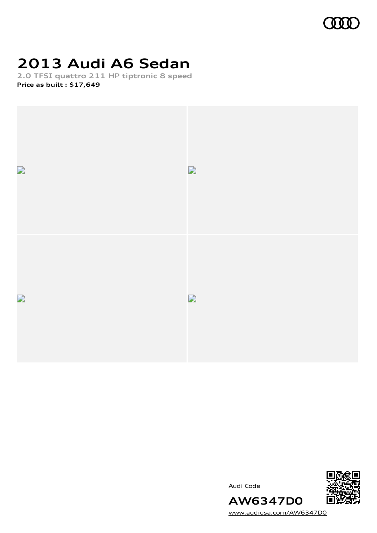

# **2013 Audi A6 Sedan**

**2.0 TFSI quattro 211 HP tiptronic 8 speed Price as built [:](#page-9-0) \$17,649**



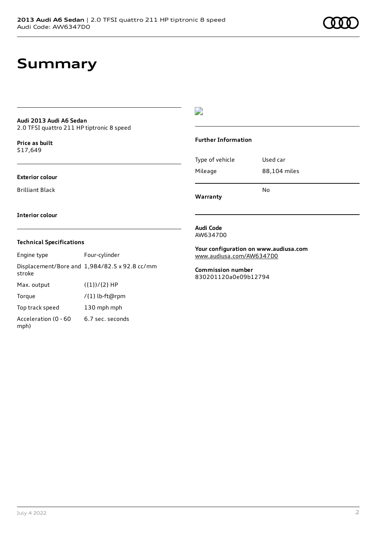# **Summary**

### **Audi 2013 Audi A6 Sedan** 2.0 TFSI quattro 211 HP tiptronic 8 speed

**Price as buil[t](#page-9-0)** \$17,649

### **Exterior colour**

Brilliant Black

D

### **Further Information**

Type of vehicle Used car Mileage 88,104 miles No

**Warranty**

### **Interior colour**

### **Technical Specifications**

Engine type Four-cylinder Displacement/Bore and 1,984/82.5 x 92.8 cc/mm stroke Max. output  $({1})/{2}$  HP Torque /{1} lb-ft@rpm Top track speed 130 mph mph Acceleration (0 - 60 mph) 6.7 sec. seconds

**Audi Code** AW6347D0

**Your configuration on www.audiusa.com** [www.audiusa.com/AW6347D0](https://www.audiusa.com/AW6347D0)

**Commission number** 830201120a0e09b12794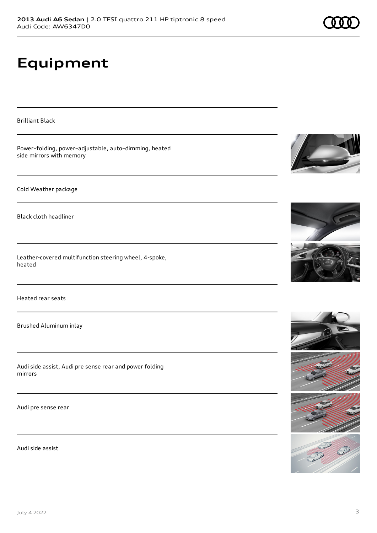# **Equipment**

Brilliant Black

Power–folding, power–adjustable, auto–dimming, heated side mirrors with memory Cold Weather package Black cloth headliner Leather-covered multifunction steering wheel, 4-spoke, heated Heated rear seats Brushed Aluminum inlay Audi side assist, Audi pre sense rear and power folding mirrors Audi pre sense rear

Audi side assist







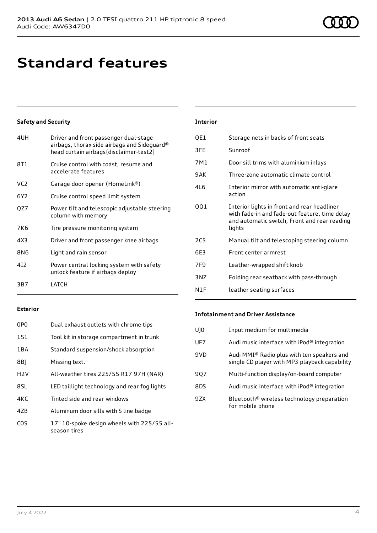# **Standard features**

## **Safety and Security**

| 4UH             | Driver and front passenger dual-stage<br>airbags, thorax side airbags and Sideguard®<br>head curtain airbags{disclaimer-test2} |
|-----------------|--------------------------------------------------------------------------------------------------------------------------------|
| 8T1             | Cruise control with coast, resume and<br>accelerate features                                                                   |
| VC <sub>2</sub> | Garage door opener (HomeLink®)                                                                                                 |
| 6Y <sub>2</sub> | Cruise control speed limit system                                                                                              |
| QZ7             | Power tilt and telescopic adjustable steering<br>column with memory                                                            |
| 7K6             | Tire pressure monitoring system                                                                                                |
| 4X3             | Driver and front passenger knee airbags                                                                                        |
| 8N6             | Light and rain sensor                                                                                                          |
| 412             | Power central locking system with safety<br>unlock feature if airbags deploy                                                   |
| 3B7             | LATCH                                                                                                                          |
|                 |                                                                                                                                |

#### **Interior**

| QE1        | Storage nets in backs of front seats                                                                                                                   |
|------------|--------------------------------------------------------------------------------------------------------------------------------------------------------|
| 3FE        | Sunroof                                                                                                                                                |
| 7M1        | Door sill trims with aluminium inlays                                                                                                                  |
| 9AK        | Three-zone automatic climate control                                                                                                                   |
| 416        | Interior mirror with automatic anti-glare<br>action                                                                                                    |
| QQ1        | Interior lights in front and rear headliner<br>with fade-in and fade-out feature, time delay<br>and automatic switch, Front and rear reading<br>lights |
| <b>2C5</b> | Manual tilt and telescoping steering column                                                                                                            |
| 6E3        | Front center armrest                                                                                                                                   |
| 7F9        | Leather-wrapped shift knob                                                                                                                             |
| 3NZ        | Folding rear seatback with pass-through                                                                                                                |
| N1F        | leather seating surfaces                                                                                                                               |

### **Exterior**

| 0P <sub>0</sub>  | Dual exhaust outlets with chrome tips                       |
|------------------|-------------------------------------------------------------|
| 1S1              | Tool kit in storage compartment in trunk                    |
| 1BA              | Standard suspension/shock absorption                        |
| 8B)              | Missing text.                                               |
| H2V              | All-weather tires 225/55 R17 97H (NAR)                      |
| 8SL              | LED taillight technology and rear fog lights                |
| 4KC              | Tinted side and rear windows                                |
| 47 <sub>B</sub>  | Aluminum door sills with S line badge                       |
| C <sub>O</sub> S | 17" 10-spoke design wheels with 225/55 all-<br>season tires |

### **Infotainment and Driver Assistance**

| U10 | Input medium for multimedia                                                                 |
|-----|---------------------------------------------------------------------------------------------|
| UF7 | Audi music interface with $i$ Pod $\textcircled{e}$ integration                             |
| 9VD | Audi MMI® Radio plus with ten speakers and<br>single CD player with MP3 playback capability |
| 907 | Multi-function display/on-board computer                                                    |
| 8DS | Audi music interface with $i$ Pod $\textcircled{e}$ integration                             |
| 97X | Bluetooth <sup>®</sup> wireless technology preparation<br>for mobile phone                  |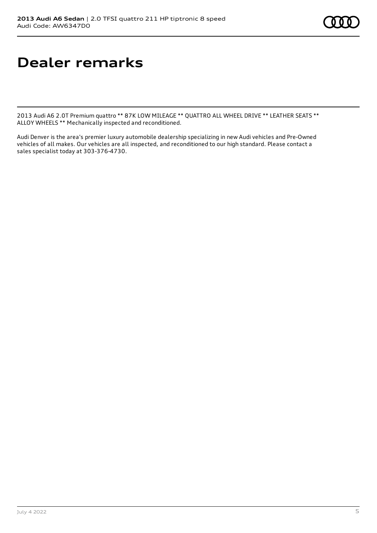# **Dealer remarks**

2013 Audi A6 2.0T Premium quattro \*\* 87K LOW MILEAGE \*\* QUATTRO ALL WHEEL DRIVE \*\* LEATHER SEATS \*\* ALLOY WHEELS \*\* Mechanically inspected and reconditioned.

Audi Denver is the area's premier luxury automobile dealership specializing in new Audi vehicles and Pre-Owned vehicles of all makes. Our vehicles are all inspected, and reconditioned to our high standard. Please contact a sales specialist today at 303-376-4730.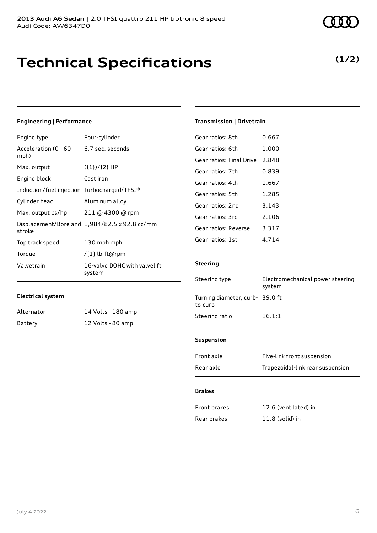# **Technical Specifications**

## **(1/2)**

## **Engineering | Performance**

| Engine type                                 | Four-cylinder                                 |
|---------------------------------------------|-----------------------------------------------|
| Acceleration (0 - 60<br>mph)                | 6.7 sec. seconds                              |
| Max. output                                 | $({1})/{2}$ HP                                |
| Engine block                                | Cast iron                                     |
| Induction/fuel injection Turbocharged/TFSI® |                                               |
| Cylinder head                               | Aluminum alloy                                |
| Max. output ps/hp                           | 211 @ 4300 @ rpm                              |
| stroke                                      | Displacement/Bore and 1,984/82.5 x 92.8 cc/mm |
| Top track speed                             | 130 mph mph                                   |
| Torque                                      | /{1} lb-ft@rpm                                |
| Valvetrain                                  | 16-valve DOHC with valvelift<br>system        |

## **Electrical system**

| Alternator | 14 Volts - 180 amp |
|------------|--------------------|
| Battery    | 12 Volts - 80 amp  |

## **Transmission | Drivetrain**

| Gear ratios: 8th         | 0.667   |
|--------------------------|---------|
| Gear ratios: 6th         | 1.000   |
| Gear ratios: Final Drive | 2.848   |
| Gear ratios: 7th         | 0.839   |
| Gear ratios: 4th         | 1.667   |
| Gear ratios: 5th         | 1.285   |
| Gear ratios: 2nd         | 3.143   |
| Gear ratios: 3rd         | 2.106   |
| Gear ratios: Reverse     | 3.317   |
| Gear ratios: 1st         | 4 7 1 4 |
|                          |         |

## **Steering**

| Steering type                             | Electromechanical power steering<br>system |
|-------------------------------------------|--------------------------------------------|
| Turning diameter, curb-39.0 ft<br>to-curb |                                            |
| Steering ratio                            | 16.1:1                                     |

## **Suspension**

| Front axle | Five-link front suspension       |
|------------|----------------------------------|
| Rear axle  | Trapezoidal-link rear suspension |

### **Brakes**

| Front brakes | 12.6 (ventilated) in |
|--------------|----------------------|
| Rear brakes  | $11.8$ (solid) in    |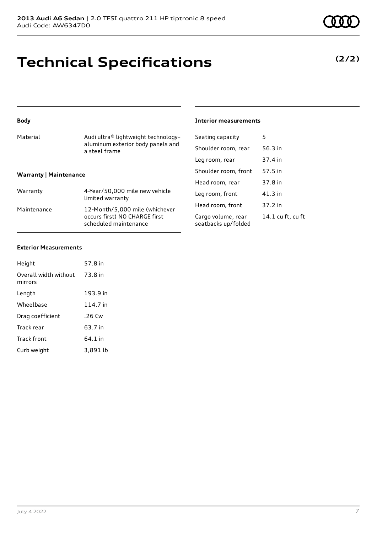# **Technical Specifications**

| <b>Body</b>                   |                                                        | Interior           |
|-------------------------------|--------------------------------------------------------|--------------------|
| Material                      | Audi ultra® lightweight technology-                    | Seating            |
|                               | aluminum exterior body panels and<br>a steel frame     | Shoulde            |
|                               |                                                        | Leg roor           |
| <b>Warranty   Maintenance</b> |                                                        | Shoulde            |
|                               |                                                        | Head ro            |
| Warranty                      | 4-Year/50,000 mile new vehicle<br>limited warranty     | Leg roor           |
| Maintenance                   | 12-Month/5,000 mile (whichever                         | Head ro            |
|                               | occurs first) NO CHARGE first<br>scheduled maintenance | Cargo v<br>seatbac |

### **Interior measurements**

| Seating capacity                          | 5                 |
|-------------------------------------------|-------------------|
| Shoulder room, rear                       | 56.3 in           |
| Leg room, rear                            | 37.4 in           |
| Shoulder room, front                      | 57.5 in           |
| Head room, rear                           | 37.8 in           |
| Leg room, front                           | 41.3 in           |
| Head room, front                          | 37.2 in           |
| Cargo volume, rear<br>seatbacks up/folded | 14.1 cu ft, cu ft |

### **Exterior Measurements**

| Height                           | 57.8 in  |
|----------------------------------|----------|
| Overall width without<br>mirrors | 73.8 in  |
| Length                           | 193.9 in |
| Wheelbase                        | 114.7 in |
| Drag coefficient                 | .26 Cw   |
| Track rear                       | 63.7 in  |
| Track front                      | 64.1 in  |
| Curb weight                      | 3,891 lb |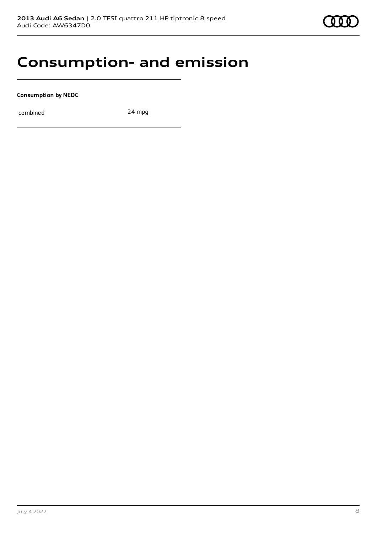## **Consumption- and emission**

**Consumption by NEDC**

combined 24 mpg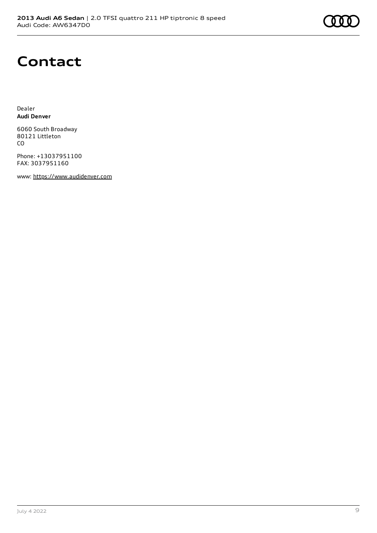

## **Contact**

Dealer **Audi Denver**

6060 South Broadway 80121 Littleton CO

Phone: +13037951100 FAX: 3037951160

www: [https://www.audidenver.com](https://www.audidenver.com/)